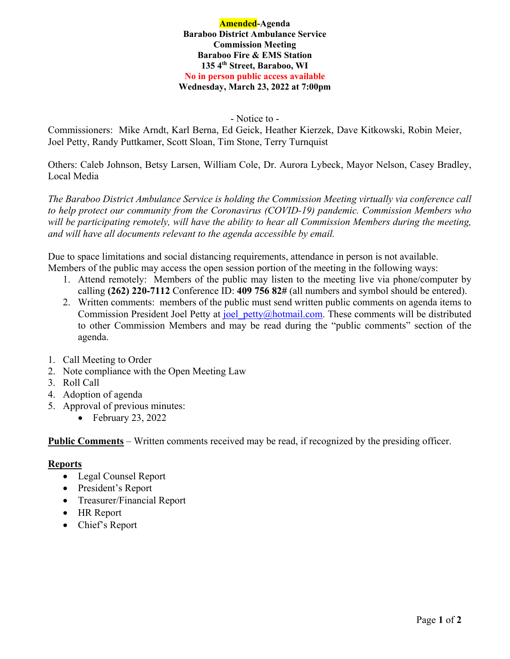#### **Amended-Agenda Baraboo District Ambulance Service Commission Meeting Baraboo Fire & EMS Station 135 4th Street, Baraboo, WI No in person public access available Wednesday, March 23, 2022 at 7:00pm**

- Notice to -

Commissioners: Mike Arndt, Karl Berna, Ed Geick, Heather Kierzek, Dave Kitkowski, Robin Meier, Joel Petty, Randy Puttkamer, Scott Sloan, Tim Stone, Terry Turnquist

Others: Caleb Johnson, Betsy Larsen, William Cole, Dr. Aurora Lybeck, Mayor Nelson, Casey Bradley, Local Media

*The Baraboo District Ambulance Service is holding the Commission Meeting virtually via conference call to help protect our community from the Coronavirus (COVID-19) pandemic. Commission Members who*  will be participating remotely, will have the ability to hear all Commission Members during the meeting, *and will have all documents relevant to the agenda accessible by email.* 

Due to space limitations and social distancing requirements, attendance in person is not available. Members of the public may access the open session portion of the meeting in the following ways:

- 1. Attend remotely: Members of the public may listen to the meeting live via phone/computer by calling **(262) 220-7112** Conference ID: **409 756 82#** (all numbers and symbol should be entered).
- 2. Written comments: members of the public must send written public comments on agenda items to Commission President Joel Petty at joel petty@hotmail.com. These comments will be distributed to other Commission Members and may be read during the "public comments" section of the agenda.
- 1. Call Meeting to Order
- 2. Note compliance with the Open Meeting Law
- 3. Roll Call
- 4. Adoption of agenda
- 5. Approval of previous minutes:
	- $\bullet$  February 23, 2022

**Public Comments** – Written comments received may be read, if recognized by the presiding officer.

# **Reports**

- Legal Counsel Report
- President's Report
- Treasurer/Financial Report
- HR Report
- Chief's Report